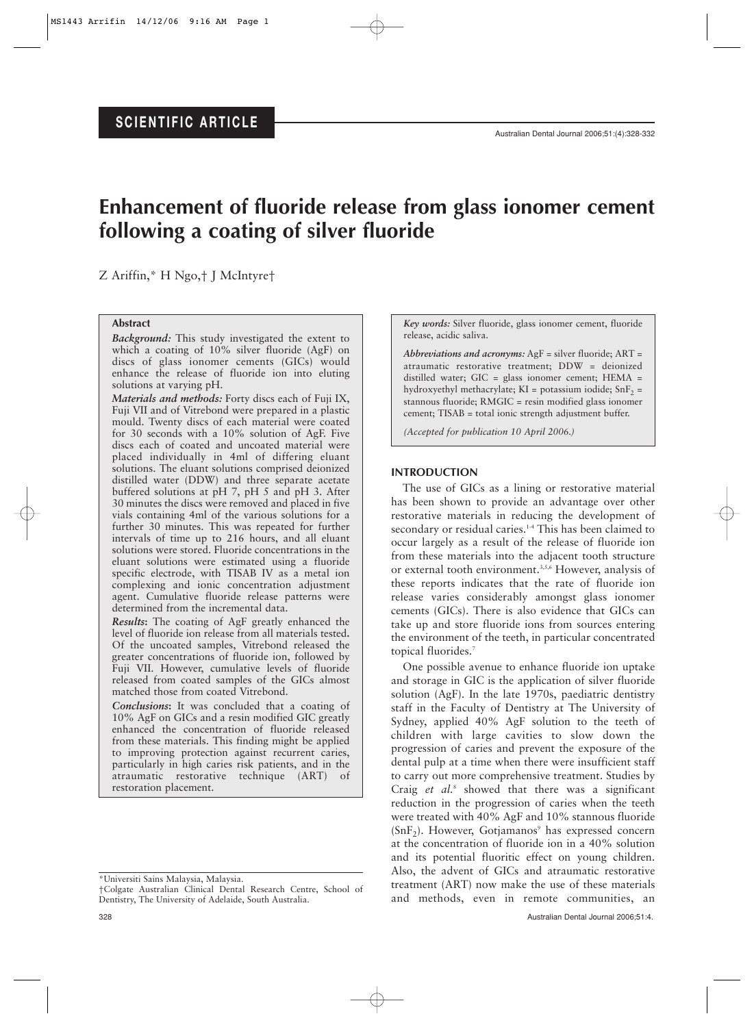# **Enhancement of fluoride release from glass ionomer cement following a coating of silver fluoride**

Z Ariffin,\* H Ngo,† J McIntyre†

# **Abstract**

*Background:* This study investigated the extent to which a coating of 10% silver fluoride (AgF) on discs of glass ionomer cements (GICs) would enhance the release of fluoride ion into eluting solutions at varying pH.

*Materials and methods:* Forty discs each of Fuji IX, Fuji VII and of Vitrebond were prepared in a plastic mould. Twenty discs of each material were coated for 30 seconds with a 10% solution of AgF. Five discs each of coated and uncoated material were placed individually in 4ml of differing eluant solutions. The eluant solutions comprised deionized distilled water (DDW) and three separate acetate buffered solutions at pH 7, pH 5 and pH 3. After 30 minutes the discs were removed and placed in five vials containing 4ml of the various solutions for a further 30 minutes. This was repeated for further intervals of time up to 216 hours, and all eluant solutions were stored. Fluoride concentrations in the eluant solutions were estimated using a fluoride specific electrode, with TISAB IV as a metal ion complexing and ionic concentration adjustment agent. Cumulative fluoride release patterns were determined from the incremental data.

*Results***:** The coating of AgF greatly enhanced the level of fluoride ion release from all materials tested**.** Of the uncoated samples, Vitrebond released the greater concentrations of fluoride ion, followed by Fuji VII. However, cumulative levels of fluoride released from coated samples of the GICs almost matched those from coated Vitrebond.

*Conclusions***:** It was concluded that a coating of 10% AgF on GICs and a resin modified GIC greatly enhanced the concentration of fluoride released from these materials. This finding might be applied to improving protection against recurrent caries, particularly in high caries risk patients, and in the atraumatic restorative technique (ART) of restoration placement.

\*Universiti Sains Malaysia, Malaysia.

†Colgate Australian Clinical Dental Research Centre, School of Dentistry, The University of Adelaide, South Australia.

*Key words:* Silver fluoride, glass ionomer cement, fluoride release, acidic saliva.

*Abbreviations and acronyms:* AgF = silver fluoride; ART = atraumatic restorative treatment; DDW = deionized distilled water; GIC = glass ionomer cement; HEMA = hydroxyethyl methacrylate;  $KI =$  potassium iodide;  $SnF<sub>2</sub> =$ stannous fluoride; RMGIC = resin modified glass ionomer cement; TISAB = total ionic strength adjustment buffer.

*(Accepted for publication 10 April 2006.)*

# **INTRODUCTION**

The use of GICs as a lining or restorative material has been shown to provide an advantage over other restorative materials in reducing the development of secondary or residual caries.<sup>14</sup> This has been claimed to occur largely as a result of the release of fluoride ion from these materials into the adjacent tooth structure or external tooth environment.<sup>3,5,6</sup> However, analysis of these reports indicates that the rate of fluoride ion release varies considerably amongst glass ionomer cements (GICs). There is also evidence that GICs can take up and store fluoride ions from sources entering the environment of the teeth, in particular concentrated topical fluorides.7

One possible avenue to enhance fluoride ion uptake and storage in GIC is the application of silver fluoride solution (AgF). In the late 1970s, paediatric dentistry staff in the Faculty of Dentistry at The University of Sydney, applied 40% AgF solution to the teeth of children with large cavities to slow down the progression of caries and prevent the exposure of the dental pulp at a time when there were insufficient staff to carry out more comprehensive treatment. Studies by Craig *et al.*<sup>8</sup> showed that there was a significant reduction in the progression of caries when the teeth were treated with 40% AgF and 10% stannous fluoride  $(SnF<sub>2</sub>)$ . However, Gotiamanos<sup>9</sup> has expressed concern at the concentration of fluoride ion in a 40% solution and its potential fluoritic effect on young children. Also, the advent of GICs and atraumatic restorative treatment (ART) now make the use of these materials and methods, even in remote communities, an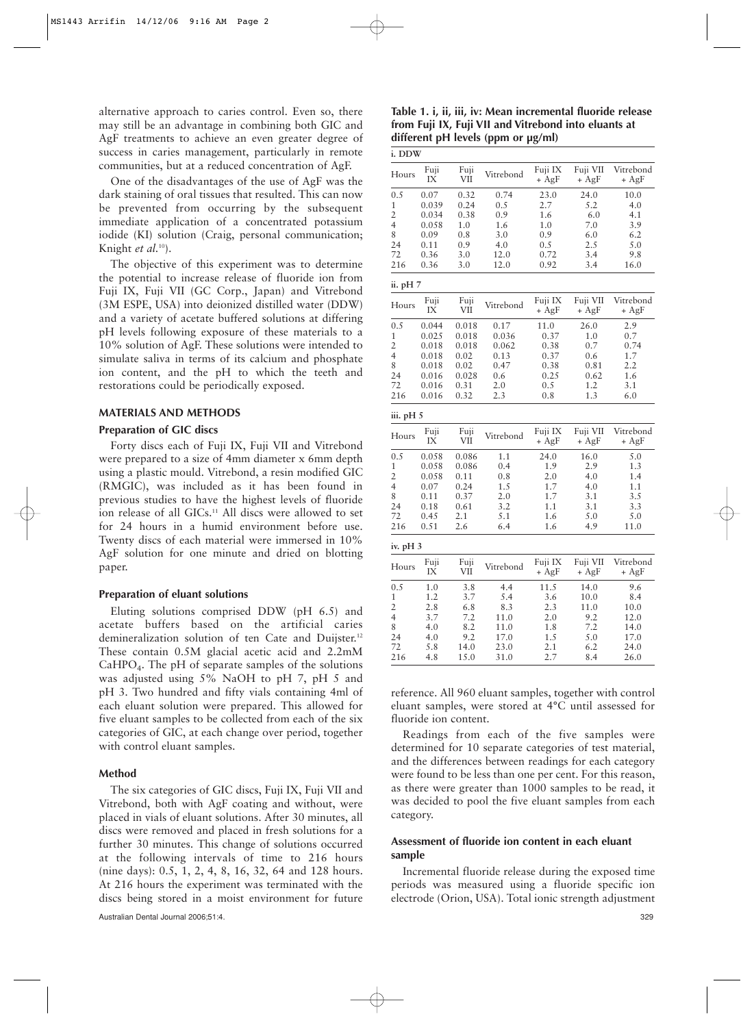alternative approach to caries control. Even so, there may still be an advantage in combining both GIC and AgF treatments to achieve an even greater degree of success in caries management, particularly in remote communities, but at a reduced concentration of AgF.

One of the disadvantages of the use of AgF was the dark staining of oral tissues that resulted. This can now be prevented from occurring by the subsequent immediate application of a concentrated potassium iodide (KI) solution (Craig, personal communication; Knight *et al.*10).

The objective of this experiment was to determine the potential to increase release of fluoride ion from Fuji IX, Fuji VII (GC Corp., Japan) and Vitrebond (3M ESPE, USA) into deionized distilled water (DDW) and a variety of acetate buffered solutions at differing pH levels following exposure of these materials to a 10% solution of AgF. These solutions were intended to simulate saliva in terms of its calcium and phosphate ion content, and the pH to which the teeth and restorations could be periodically exposed.

#### **MATERIALS AND METHODS**

### **Preparation of GIC discs**

Forty discs each of Fuji IX, Fuji VII and Vitrebond were prepared to a size of 4mm diameter x 6mm depth using a plastic mould. Vitrebond, a resin modified GIC (RMGIC), was included as it has been found in previous studies to have the highest levels of fluoride ion release of all GICs.<sup>11</sup> All discs were allowed to set for 24 hours in a humid environment before use. Twenty discs of each material were immersed in 10% AgF solution for one minute and dried on blotting paper.

#### **Preparation of eluant solutions**

Eluting solutions comprised DDW (pH 6.5) and acetate buffers based on the artificial caries demineralization solution of ten Cate and Duijster.<sup>12</sup> These contain 0.5M glacial acetic acid and 2.2mM  $CaHPO<sub>4</sub>$ . The pH of separate samples of the solutions was adjusted using 5% NaOH to pH 7, pH 5 and pH 3. Two hundred and fifty vials containing 4ml of each eluant solution were prepared. This allowed for five eluant samples to be collected from each of the six categories of GIC, at each change over period, together with control eluant samples.

#### **Method**

The six categories of GIC discs, Fuji IX, Fuji VII and Vitrebond, both with AgF coating and without, were placed in vials of eluant solutions. After 30 minutes, all discs were removed and placed in fresh solutions for a further 30 minutes. This change of solutions occurred at the following intervals of time to 216 hours (nine days): 0.5, 1, 2, 4, 8, 16, 32, 64 and 128 hours. At 216 hours the experiment was terminated with the discs being stored in a moist environment for future

**Table 1. i, ii, iii, iv: Mean incremental fluoride release from Fuji IX, Fuji VII and Vitrebond into eluants at different pH levels (ppm or µg/ml)**

| i. DDW         |               |              |             |                    |                     |                      |
|----------------|---------------|--------------|-------------|--------------------|---------------------|----------------------|
| Hours          | Fuji<br>IX    | Fuji<br>VII  | Vitrebond   | Fuji IX<br>$+ AgF$ | Fuji VII<br>+ AgF   | Vitrebond<br>+ AgF   |
| 0.5<br>1       | 0.07<br>0.039 | 0.32<br>0.24 | 0.74<br>0.5 | 23.0<br>2.7        | 24.0<br>5.2         | 10.0<br>4.0          |
| 2              | 0.034         | 0.38         | 0.9         | 1.6                | 6.0                 | 4.1                  |
| 4              | 0.058         | 1.0          | 1.6         | 1.0                | 7.0                 | 3.9                  |
| 8              | 0.09          | 0.8          | 3.0         | 0.9                | 6.0                 | 6.2                  |
| 24             | 0.11          | 0.9          | 4.0         | 0.5                | 2.5                 | 5.0                  |
| 72             | 0.36          | 3.0          | 12.0        | 0.72               | 3.4                 | 9.8                  |
| 216            | 0.36          | 3.0          | 12.0        | 0.92               | 3.4                 | 16.0                 |
| ii. pH 7       |               |              |             |                    |                     |                      |
| Hours          | Fuji<br>IX    | Fuji<br>VII  | Vitrebond   | Fuji IX<br>$+ AgF$ | Fuji VII<br>$+ AgF$ | Vitrebond<br>$+ AgF$ |
| 0.5            | 0.044         | 0.018        | 0.17        | 11.0               | 26.0                | 2.9                  |
| $\mathbf 1$    | 0.025         | 0.018        | 0.036       | 0.37               | 1.0                 | 0.7                  |
| $\overline{c}$ | 0.018         | 0.018        | 0.062       | 0.38               | 0.7                 | 0.74                 |
| 4              | 0.018         | 0.02         | 0.13        | 0.37               | 0.6                 | 1.7                  |
| 8              | 0.018         | 0.02         | 0.47        | 0.38               | 0.81                | 2.2                  |
| 24             | 0.016         | 0.028        | 0.6         | 0.25               | 0.62                | 1.6                  |
| 72             | 0.016         | 0.31         | 2.0         | 0.5                | 1.2                 | 3.1                  |
| 216            | 0.016         | 0.32         | 2.3         | 0.8                | 1.3                 | 6.0                  |
| iii. pH 5      |               |              |             |                    |                     |                      |
| Hours          | Fuji<br>IX    | Fuji<br>VII  | Vitrebond   | Fuji IX<br>$+ AgF$ | Fuji VII<br>+ AgF   | Vitrebond<br>+ AgF   |
| 0.5            | 0.058         | 0.086        | 1.1         | 24.0               | 16.0                | 5.0                  |
| $\mathbf 1$    | 0.058         | 0.086        | 0.4         | 1.9                | 2.9                 | 1.3                  |
| 2              | 0.058         | 0.11         | 0.8         | 2.0                | 4.0                 | 1.4                  |
| $\overline{4}$ | 0.07          | 0.24         | 1.5         | 1.7                | 4.0                 | 1.1                  |
| 8              | 0.11          | 0.37         | 2.0         | 1.7                | 3.1                 | 3.5                  |
| 24             | 0.18          | 0.61         | 3.2         | 1.1                | 3.1                 | 3.3                  |
| 72             | 0.45          | 2.1          | 5.1         | 1.6                | 5.0                 | 5.0                  |
| 216            | 0.51          | 2.6          | 6.4         | 1.6                | 4.9                 | 11.0                 |
| iv. pH 3       |               |              |             |                    |                     |                      |
| Hours          | Fuji<br>IX    | Fuji<br>VІІ  | Vitrebond   | Fuji IX<br>+ AgF   | Fuji VII<br>+ AgF   | Vitrebond<br>+ AgF   |
| 0.5            | 1.0           | 3.8          | 4.4         | 11.5               | 14.0                | 9.6                  |
| 1              | 1.2           | 3.7          | 5.4         | 3.6                | 10.0                | 8.4                  |
| $\overline{c}$ | 2.8           | 6.8          | 8.3         | 2.3                | 11.0                | 10.0                 |
| 4              | 3.7           | 7.2          | 11.0        | 2.0                | 9.2                 | 12.0                 |
| 8              | 4.0           | 8.2          | 11.0        | 1.8                | 7.2                 | 14.0                 |
| 24             | 4.0           | 9.2          | 17.0        | 1.5                | 5.0                 | 17.0                 |
| 72             | 5.8           | 14.0         | 23.0        | 2.1                | 6.2                 | 24.0                 |
| 216            | 4.8           | 15.0         | 31.0        | 2.7                | 8.4                 | 26.0                 |
|                |               |              |             |                    |                     |                      |

reference. All 960 eluant samples, together with control eluant samples, were stored at 4°C until assessed for fluoride ion content.

Readings from each of the five samples were determined for 10 separate categories of test material, and the differences between readings for each category were found to be less than one per cent. For this reason, as there were greater than 1000 samples to be read, it was decided to pool the five eluant samples from each category.

## **Assessment of fluoride ion content in each eluant sample**

Incremental fluoride release during the exposed time periods was measured using a fluoride specific ion electrode (Orion, USA). Total ionic strength adjustment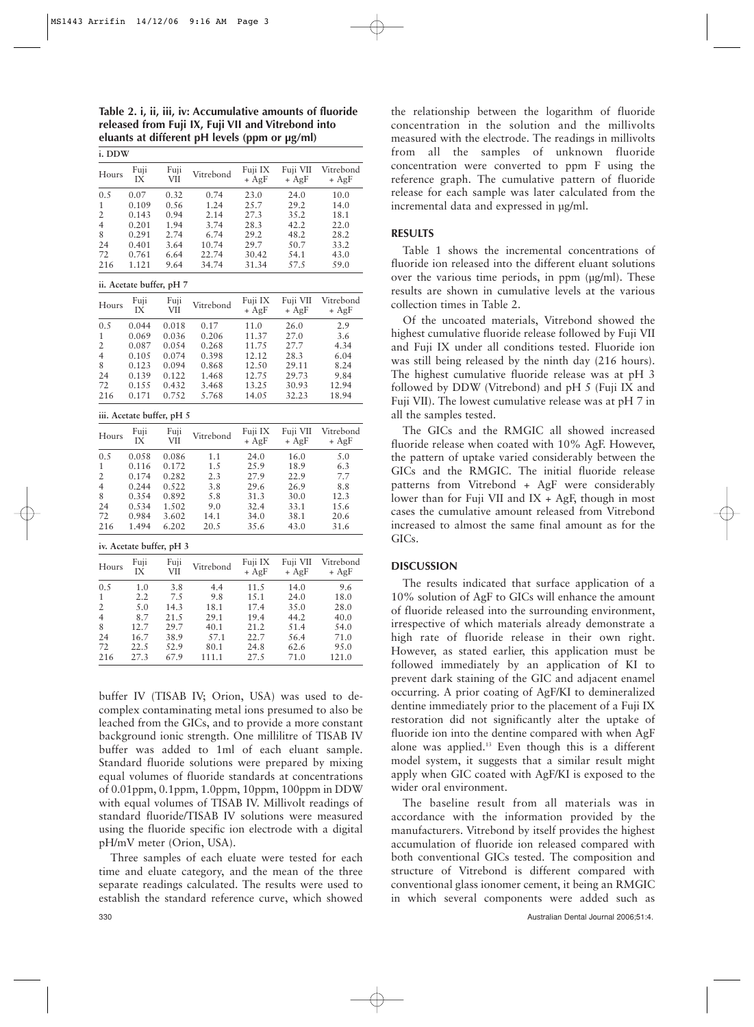**Table 2. i, ii, iii, iv: Accumulative amounts of fluoride released from Fuji IX, Fuji VII and Vitrebond into eluants at different pH levels (ppm or µg/ml)**

**i. DDW**

| Hours                     | Fuji<br>IX | Fuji<br><b>VII</b> | Vitrebond | Fuji IX<br>$+ AgF$ | Fuji VII<br>$+ AgF$ | Vitrebond<br>$+ AgF$ |  |  |
|---------------------------|------------|--------------------|-----------|--------------------|---------------------|----------------------|--|--|
| 0.5                       | 0.07       | 0.32               | 0.74      | 23.0               | 24.0                | 10.0                 |  |  |
| $\mathbf{1}$              | 0.109      | 0.56               | 1.24      | 25.7               | 29.2                | 14.0                 |  |  |
| $\overline{2}$            | 0.143      | 0.94               | 2.14      | 27.3               | 35.2                | 18.1                 |  |  |
| $\overline{4}$            | 0.201      | 1.94               | 3.74      | 28.3               |                     | 22.0                 |  |  |
|                           |            |                    |           |                    | 42.2                |                      |  |  |
| 8                         | 0.291      | 2.74               | 6.74      | 29.2               | 48.2                | 28.2                 |  |  |
| 24                        | 0.401      | 3.64               | 10.74     | 29.7               | 50.7                | 33.2                 |  |  |
| 72                        | 0.761      | 6.64               | 22.74     | 30.42              | 54.1                | 43.0                 |  |  |
| 216                       | 1.121      | 9.64               | 34.74     | 31.34              | 57.5                | 59.0                 |  |  |
| ii. Acetate buffer, pH 7  |            |                    |           |                    |                     |                      |  |  |
| Hours                     | Fuji       | Fuji               | Vitrebond | Fuji IX            | Fuji VII            | Vitrebond            |  |  |
|                           | IX         | VII                |           | $+ AgF$            | $+ AgF$             | $+ AgF$              |  |  |
| 0.5                       | 0.044      | 0.018              | 0.17      | 11.0               | 26.0                | 2.9                  |  |  |
| 1                         | 0.069      | 0.036              | 0.206     | 11.37              | 27.0                | 3.6                  |  |  |
| $\overline{2}$            | 0.087      | 0.054              | 0.268     | 11.75              | 27.7                | 4.34                 |  |  |
| $\overline{4}$            | 0.105      | 0.074              | 0.398     | 12.12              | 28.3                | 6.04                 |  |  |
| 8                         | 0.123      | 0.094              | 0.868     | 12.50              | 29.11               | 8.24                 |  |  |
| 24                        | 0.139      | 0.122              | 1.468     | 12.75              | 29.73               | 9.84                 |  |  |
| 72                        | 0.155      | 0.432              | 3.468     | 13.25              | 30.93               | 12.94                |  |  |
| 216                       | 0.171      | 0.752              | 5.768     | 14.05              | 32.23               | 18.94                |  |  |
| iii. Acetate buffer, pH 5 |            |                    |           |                    |                     |                      |  |  |
| Hours                     | Fuji<br>IX | Fuji<br><b>VII</b> | Vitrebond | Fuji IX<br>$+ AgF$ | Fuji VII<br>$+ AgF$ | Vitrebond<br>$+ AgF$ |  |  |
| 0.5                       | 0.058      | 0.086              | 1.1       | 24.0               | 16.0                | 5.0                  |  |  |
| 1                         | 0.116      | 0.172              | 1.5       | 25.9               | 18.9                | 6.3                  |  |  |
| $\overline{2}$            | 0.174      | 0.282              | 2.3       | 27.9               | 22.9                | 7.7                  |  |  |
| $\overline{4}$            | 0.244      | 0.522              | 3.8       | 29.6               | 26.9                | 8.8                  |  |  |
| 8                         | 0.354      | 0.892              | 5.8       | 31.3               | 30.0                | 12.3                 |  |  |
| 24                        | 0.534      | 1.502              | 9.0       | 32.4               | 33.1                | 15.6                 |  |  |
| 72                        | 0.984      | 3.602              | 14.1      | 34.0               | 38.1                | 20.6                 |  |  |
| 216                       | 1.494      | 6.202              | 20.5      | 35.6               | 43.0                | 31.6                 |  |  |
| iv. Acetate buffer, pH 3  |            |                    |           |                    |                     |                      |  |  |
|                           | Fuji       | Fuji               |           | Fuji IX            | Fuji VII            | Vitrebond            |  |  |
| Hours                     | IX         | <b>VII</b>         | Vitrebond | $+ AgF$            | $+ AgF$             | $+ AgF$              |  |  |
| 0.5                       | 1.0        | 3.8                | 4.4       | 11.5               | 14.0                | 9.6                  |  |  |
| $\mathbf{1}$              | 2.2        | 7.5                | 9.8       | 15.1               | 24.0                | 18.0                 |  |  |
| 2                         | 5.0        | 14.3               | 18.1      | 17.4               | 35.0                | 28.0                 |  |  |
| $\overline{4}$            | 8.7        | 21.5               | 29.1      | 19.4               | 44.2                | 40.0                 |  |  |
| 8                         | 12.7       | 29.7               | 40.1      | 21.2               | 51.4                | 54.0                 |  |  |
| 24                        | 16.7       | 38.9               | 57.1      | 22.7               | 56.4                | 71.0                 |  |  |
| 72                        | 22.5       | 52.9               | 80.1      | 24.8               | 62.6                | 95.0                 |  |  |
| 216                       | 27.3       | 67.9               | 111.1     | 27.5               | 71.0                | 121.0                |  |  |
|                           |            |                    |           |                    |                     |                      |  |  |

buffer IV (TISAB IV; Orion, USA) was used to decomplex contaminating metal ions presumed to also be leached from the GICs, and to provide a more constant background ionic strength. One millilitre of TISAB IV buffer was added to 1ml of each eluant sample. Standard fluoride solutions were prepared by mixing equal volumes of fluoride standards at concentrations of 0.01ppm, 0.1ppm, 1.0ppm, 10ppm, 100ppm in DDW with equal volumes of TISAB IV. Millivolt readings of standard fluoride/TISAB IV solutions were measured using the fluoride specific ion electrode with a digital pH/mV meter (Orion, USA).

Three samples of each eluate were tested for each time and eluate category, and the mean of the three separate readings calculated. The results were used to establish the standard reference curve, which showed

Table 1 shows the incremental concentrations of fluoride ion released into the different eluant solutions over the various time periods, in ppm (µg/ml). These results are shown in cumulative levels at the various collection times in Table 2.

**RESULTS**

Of the uncoated materials, Vitrebond showed the highest cumulative fluoride release followed by Fuji VII and Fuji IX under all conditions tested. Fluoride ion was still being released by the ninth day (216 hours). The highest cumulative fluoride release was at pH 3 followed by DDW (Vitrebond) and pH 5 (Fuji IX and Fuji VII). The lowest cumulative release was at pH 7 in all the samples tested.

the relationship between the logarithm of fluoride concentration in the solution and the millivolts measured with the electrode. The readings in millivolts from all the samples of unknown fluoride concentration were converted to ppm F using the reference graph. The cumulative pattern of fluoride release for each sample was later calculated from the

incremental data and expressed in µg/ml.

The GICs and the RMGIC all showed increased fluoride release when coated with 10% AgF. However, the pattern of uptake varied considerably between the GICs and the RMGIC. The initial fluoride release patterns from Vitrebond + AgF were considerably lower than for Fuji VII and IX + AgF, though in most cases the cumulative amount released from Vitrebond increased to almost the same final amount as for the GICs.

## **DISCUSSION**

The results indicated that surface application of a 10% solution of AgF to GICs will enhance the amount of fluoride released into the surrounding environment, irrespective of which materials already demonstrate a high rate of fluoride release in their own right. However, as stated earlier, this application must be followed immediately by an application of KI to prevent dark staining of the GIC and adjacent enamel occurring. A prior coating of AgF/KI to demineralized dentine immediately prior to the placement of a Fuji IX restoration did not significantly alter the uptake of fluoride ion into the dentine compared with when AgF alone was applied.13 Even though this is a different model system, it suggests that a similar result might apply when GIC coated with AgF/KI is exposed to the wider oral environment.

The baseline result from all materials was in accordance with the information provided by the manufacturers. Vitrebond by itself provides the highest accumulation of fluoride ion released compared with both conventional GICs tested. The composition and structure of Vitrebond is different compared with conventional glass ionomer cement, it being an RMGIC in which several components were added such as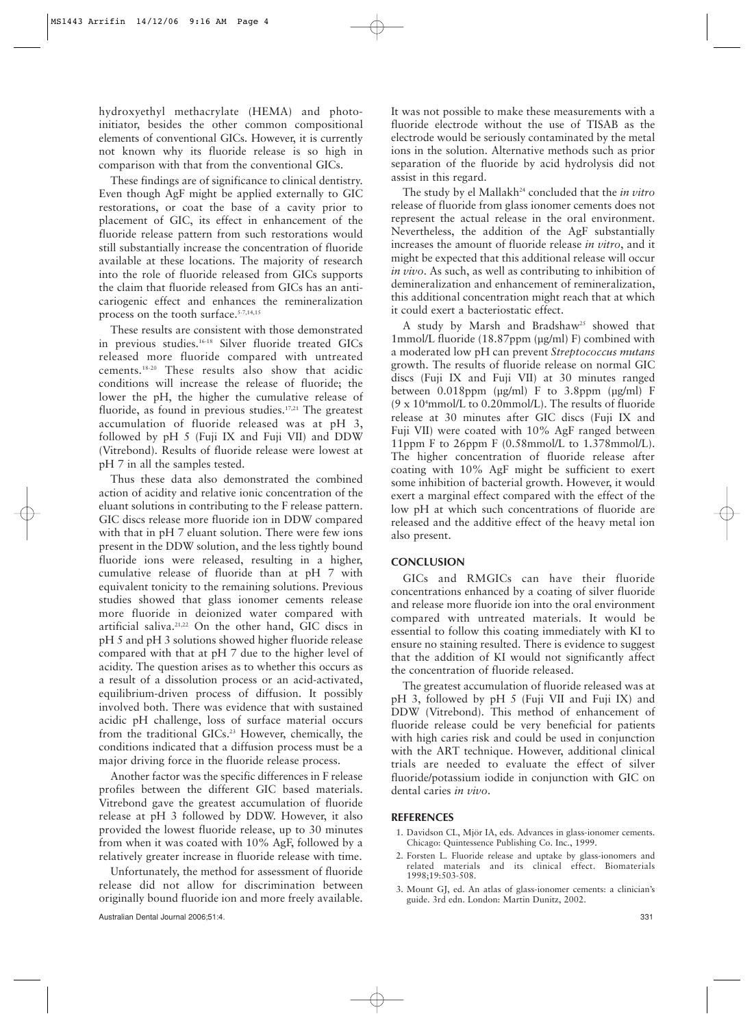hydroxyethyl methacrylate (HEMA) and photoinitiator, besides the other common compositional elements of conventional GICs. However, it is currently not known why its fluoride release is so high in comparison with that from the conventional GICs.

These findings are of significance to clinical dentistry. Even though AgF might be applied externally to GIC restorations, or coat the base of a cavity prior to placement of GIC, its effect in enhancement of the fluoride release pattern from such restorations would still substantially increase the concentration of fluoride available at these locations. The majority of research into the role of fluoride released from GICs supports the claim that fluoride released from GICs has an anticariogenic effect and enhances the remineralization process on the tooth surface.<sup>5-7,14,15</sup>

These results are consistent with those demonstrated in previous studies.16-18 Silver fluoride treated GICs released more fluoride compared with untreated cements.18-20 These results also show that acidic conditions will increase the release of fluoride; the lower the pH, the higher the cumulative release of fluoride, as found in previous studies.<sup>17,21</sup> The greatest accumulation of fluoride released was at pH 3, followed by pH 5 (Fuji IX and Fuji VII) and DDW (Vitrebond). Results of fluoride release were lowest at pH 7 in all the samples tested.

Thus these data also demonstrated the combined action of acidity and relative ionic concentration of the eluant solutions in contributing to the F release pattern. GIC discs release more fluoride ion in DDW compared with that in pH 7 eluant solution. There were few ions present in the DDW solution, and the less tightly bound fluoride ions were released, resulting in a higher, cumulative release of fluoride than at pH 7 with equivalent tonicity to the remaining solutions. Previous studies showed that glass ionomer cements release more fluoride in deionized water compared with artificial saliva.21,22 On the other hand, GIC discs in pH 5 and pH 3 solutions showed higher fluoride release compared with that at pH 7 due to the higher level of acidity. The question arises as to whether this occurs as a result of a dissolution process or an acid-activated, equilibrium-driven process of diffusion. It possibly involved both. There was evidence that with sustained acidic pH challenge, loss of surface material occurs from the traditional GICs.<sup>23</sup> However, chemically, the conditions indicated that a diffusion process must be a major driving force in the fluoride release process.

Another factor was the specific differences in F release profiles between the different GIC based materials. Vitrebond gave the greatest accumulation of fluoride release at pH 3 followed by DDW. However, it also provided the lowest fluoride release, up to 30 minutes from when it was coated with 10% AgF, followed by a relatively greater increase in fluoride release with time.

Unfortunately, the method for assessment of fluoride release did not allow for discrimination between originally bound fluoride ion and more freely available. It was not possible to make these measurements with a fluoride electrode without the use of TISAB as the electrode would be seriously contaminated by the metal ions in the solution. Alternative methods such as prior separation of the fluoride by acid hydrolysis did not assist in this regard.

The study by el Mallakh<sup>24</sup> concluded that the *in vitro* release of fluoride from glass ionomer cements does not represent the actual release in the oral environment. Nevertheless, the addition of the AgF substantially increases the amount of fluoride release *in vitro*, and it might be expected that this additional release will occur *in vivo*. As such, as well as contributing to inhibition of demineralization and enhancement of remineralization, this additional concentration might reach that at which it could exert a bacteriostatic effect.

A study by Marsh and Bradshaw<sup>25</sup> showed that 1mmol/L fluoride (18.87ppm (µg/ml) F) combined with a moderated low pH can prevent *Streptococcus mutans* growth. The results of fluoride release on normal GIC discs (Fuji IX and Fuji VII) at 30 minutes ranged between 0.018ppm (µg/ml) F to 3.8ppm (µg/ml) F  $(9 \times 10^4 \text{mmol/L}$  to 0.20mmol/L). The results of fluoride release at 30 minutes after GIC discs (Fuji IX and Fuji VII) were coated with 10% AgF ranged between 11ppm F to 26ppm F (0.58mmol/L to 1.378mmol/L). The higher concentration of fluoride release after coating with 10% AgF might be sufficient to exert some inhibition of bacterial growth. However, it would exert a marginal effect compared with the effect of the low pH at which such concentrations of fluoride are released and the additive effect of the heavy metal ion also present.

#### **CONCLUSION**

GICs and RMGICs can have their fluoride concentrations enhanced by a coating of silver fluoride and release more fluoride ion into the oral environment compared with untreated materials. It would be essential to follow this coating immediately with KI to ensure no staining resulted. There is evidence to suggest that the addition of KI would not significantly affect the concentration of fluoride released.

The greatest accumulation of fluoride released was at pH 3, followed by pH 5 (Fuji VII and Fuji IX) and DDW (Vitrebond). This method of enhancement of fluoride release could be very beneficial for patients with high caries risk and could be used in conjunction with the ART technique. However, additional clinical trials are needed to evaluate the effect of silver fluoride/potassium iodide in conjunction with GIC on dental caries *in vivo*.

#### **REFERENCES**

- 1. Davidson CL, Mjör IA, eds. Advances in glass-ionomer cements. Chicago: Quintessence Publishing Co. Inc., 1999.
- 2. Forsten L. Fluoride release and uptake by glass-ionomers and related materials and its clinical effect. Biomaterials 1998;19:503-508.
- 3. Mount GJ, ed. An atlas of glass-ionomer cements: a clinician's guide. 3rd edn. London: Martin Dunitz, 2002.